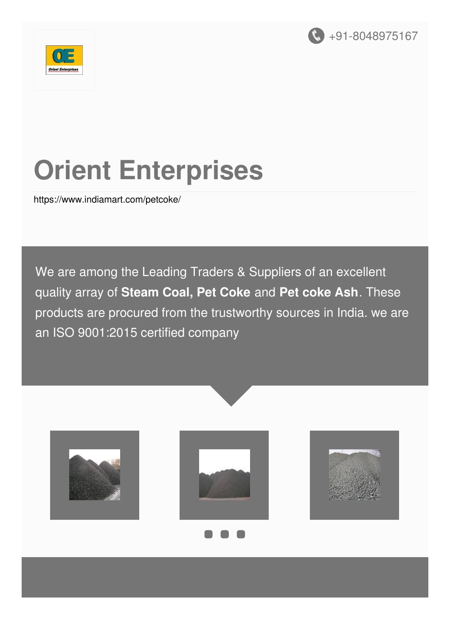



# **Orient Enterprises**

<https://www.indiamart.com/petcoke/>

We are among the Leading Traders & Suppliers of an excellent quality array of **Steam Coal, Pet Coke** and **Pet coke Ash**. These products are procured from the trustworthy sources in India. we are an ISO 9001:2015 certified company

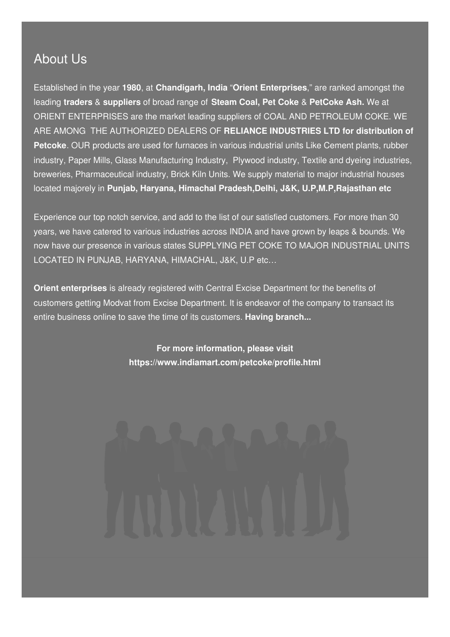#### About Us

Established in the year **1980**, at **Chandigarh, India** "**Orient Enterprises**," are ranked amongst the leading **traders** & **suppliers** of broad range of **Steam Coal, Pet Coke** & **PetCoke Ash.** We at ORIENT ENTERPRISES are the market leading suppliers of COAL AND PETROLEUM COKE. WE ARE AMONG THE AUTHORIZED DEALERS OF **RELIANCE INDUSTRIES LTD for distribution of Petcoke**. OUR products are used for furnaces in various industrial units Like Cement plants, rubber industry, Paper Mills, Glass Manufacturing Industry, Plywood industry, Textile and dyeing industries, breweries, Pharmaceutical industry, Brick Kiln Units. We supply material to major industrial houses located majorely in **Punjab, Haryana, Himachal Pradesh,Delhi, J&K, U.P,M.P,Rajasthan etc**

Experience our top notch service, and add to the list of our satisfied customers. For more than 30 years, we have catered to various industries across INDIA and have grown by leaps & bounds. We now have our presence in various states SUPPLYING PET COKE TO MAJOR INDUSTRIAL UNITS LOCATED IN PUNJAB, HARYANA, HIMACHAL, J&K, U.P etc…

**Orient enterprises** is already registered with Central Excise Department for the benefits of customers getting Modvat from Excise Department. It is endeavor of the company to transact its entire business online to save the time of its customers. **Having branch...**

> **For more information, please visit <https://www.indiamart.com/petcoke/profile.html>**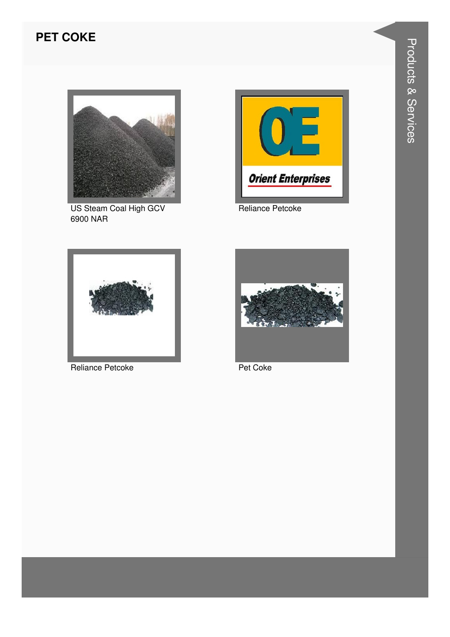#### **PET COKE**



US Steam Coal High GCV 6900 NAR



Reliance Petcoke



Reliance Petcoke



Pet Coke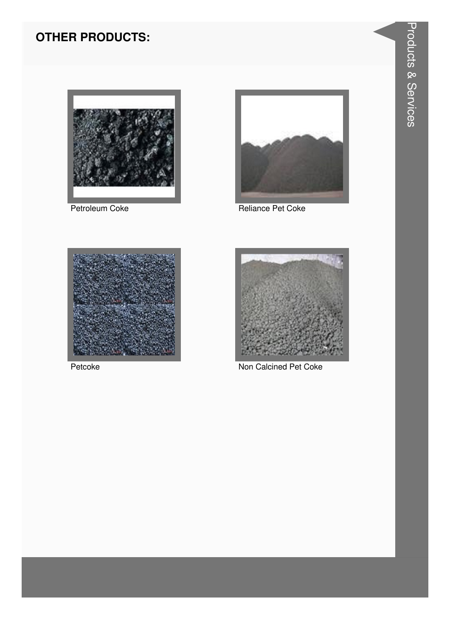### **OTHER PRODUCTS:**



Petroleum Coke



Reliance Pet Coke



Petcoke



Non Calcined Pet Coke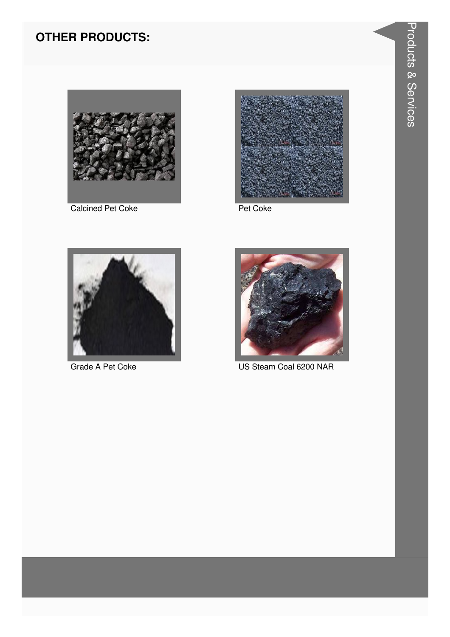### **OTHER PRODUCTS:**



**Calcined Pet Coke** 



Pet Coke



Grade A Pet Coke



US Steam Coal 6200 NAR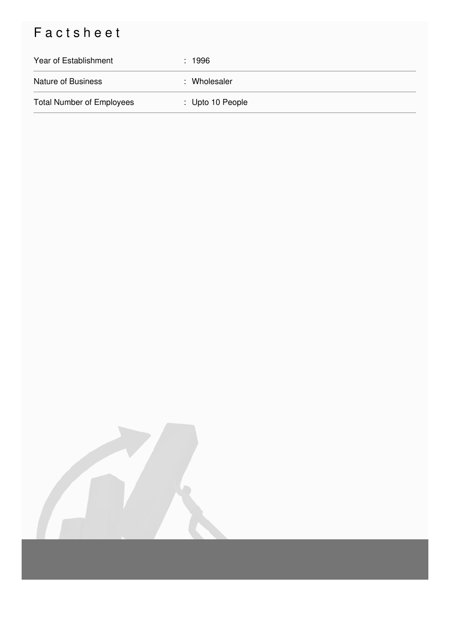## Factsheet

| Year of Establishment            | : 1996                      |
|----------------------------------|-----------------------------|
| <b>Nature of Business</b>        | : Wholesaler                |
| <b>Total Number of Employees</b> | $\therefore$ Upto 10 People |